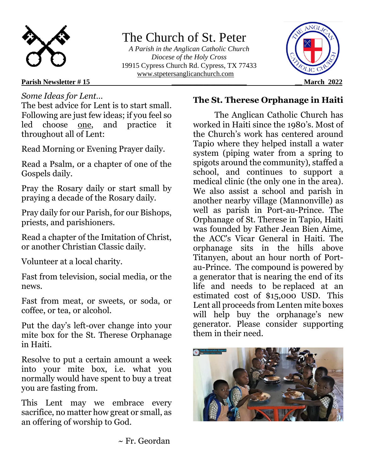

# The Church of St. Peter

 *A Parish in the Anglican Catholic Church Diocese of the Holy Cross* 19915 Cypress Church Rd. Cypress, TX 77433 [www.stpetersanglicanchurch.com](http://www.stpetersanglicanchurch.com/)



## **Parish Newsletter # 15 \_\_\_\_\_\_\_\_\_\_\_\_\_\_\_\_\_\_\_\_\_ \_\_ March 2022**

## *Some Ideas for Lent…*

The best advice for Lent is to start small. Following are just few ideas; if you feel so led choose one, and practice it throughout all of Lent:

Read Morning or Evening Prayer daily.

Read a Psalm, or a chapter of one of the Gospels daily.

Pray the Rosary daily or start small by praying a decade of the Rosary daily.

Pray daily for our Parish, for our Bishops, priests, and parishioners.

Read a chapter of the Imitation of Christ, or another Christian Classic daily.

Volunteer at a local charity.

Fast from television, social media, or the news.

Fast from meat, or sweets, or soda, or coffee, or tea, or alcohol.

Put the day's left-over change into your mite box for the St. Therese Orphanage in Haiti.

Resolve to put a certain amount a week into your mite box, i.e. what you normally would have spent to buy a treat you are fasting from.

This Lent may we embrace every sacrifice, no matter how great or small, as an offering of worship to God.

## **The St. Therese Orphanage in Haiti**

The Anglican Catholic Church has worked in Haiti since the 1980's. Most of the Church's work has centered around Tapio where they helped install a water system (piping water from a spring to spigots around the community), staffed a school, and continues to support a medical clinic (the only one in the area). We also assist a school and parish in another nearby village (Mannonville) as well as parish in Port-au-Prince. The Orphanage of St. Therese in Tapio, Haiti was founded by Father Jean Bien Aime, the ACC's Vicar General in Haiti. The orphanage sits in the hills above Titanyen, about an hour north of Portau-Prince. The compound is powered by a generator that is nearing the end of its life and needs to be replaced at an estimated cost of \$15,000 USD. This Lent all proceeds from Lenten mite boxes will help buy the orphanage's new generator. Please consider supporting them in their need.



~ Fr. Geordan